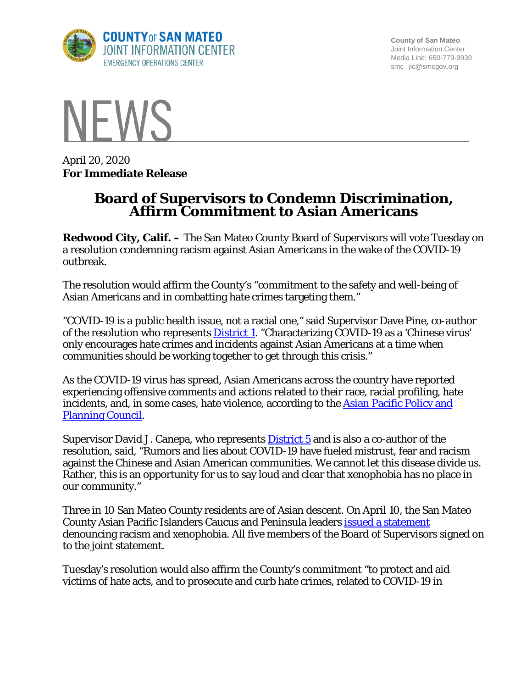

**County of San Mateo** Joint Information Center Media Line: 650-779-9939 smc\_ jic@smcgov.org



April 20, 2020 **For Immediate Release**

## **Board of Supervisors to Condemn Discrimination, Affirm Commitment to Asian Americans**

**Redwood City, Calif. –** The San Mateo County Board of Supervisors will vote Tuesday on a resolution condemning racism against Asian Americans in the wake of the COVID-19 outbreak.

The resolution would affirm the County's "commitment to the safety and well-being of Asian Americans and in combatting hate crimes targeting them."

"COVID-19 is a public health issue, not a racial one," said Supervisor Dave Pine, co-author of the resolution who represents **District 1**. "Characterizing COVID-19 as a 'Chinese virus' only encourages hate crimes and incidents against Asian Americans at a time when communities should be working together to get through this crisis."

As the COVID-19 virus has spread, Asian Americans across the country have reported experiencing offensive comments and actions related to their race, racial profiling, hate incidents, and, in some cases, hate violence, according to the [Asian Pacific Policy and](http://www.asianpacificpolicyandplanningcouncil.org/)  [Planning Council.](http://www.asianpacificpolicyandplanningcouncil.org/)

Supervisor David J. Canepa, who represents [District 5](https://bos.smcgov.org/about-district-5) and is also a co-author of the resolution, said, "Rumors and lies about COVID-19 have fueled mistrust, fear and racism against the Chinese and Asian American communities. We cannot let this disease divide us. Rather, this is an opportunity for us to say loud and clear that xenophobia has no place in our community."

Three in 10 San Mateo County residents are of Asian descent. On April 10, the San Mateo County Asian Pacific Islanders Caucus and Peninsula leaders [issued a statement](https://www.samceda.org/sites/default/files/Xenophobia%20Statement%20final.pdf) denouncing racism and xenophobia. All five members of the Board of Supervisors signed on to the joint statement.

Tuesday's resolution would also affirm the County's commitment "to protect and aid victims of hate acts, and to prosecute and curb hate crimes, related to COVID-19 in